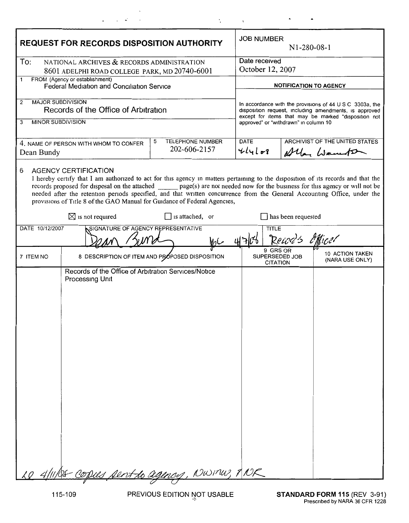| <b>REQUEST FOR RECORDS DISPOSITION AUTHORITY</b>                                                                                                                                                                                                                                                                                                                                                                                                                                                                     |                                                     | <b>JOB NUMBER</b><br>$N1-280-08-1$                                                                                                                                                                                  |  |                                             |
|----------------------------------------------------------------------------------------------------------------------------------------------------------------------------------------------------------------------------------------------------------------------------------------------------------------------------------------------------------------------------------------------------------------------------------------------------------------------------------------------------------------------|-----------------------------------------------------|---------------------------------------------------------------------------------------------------------------------------------------------------------------------------------------------------------------------|--|---------------------------------------------|
| To:<br>NATIONAL ARCHIVES & RECORDS ADMINISTRATION<br>8601 ADELPHI ROAD COLLEGE PARK, MD 20740-6001                                                                                                                                                                                                                                                                                                                                                                                                                   |                                                     | Date received<br>October 12, 2007                                                                                                                                                                                   |  |                                             |
| FROM (Agency or establishment)<br>1<br>Federal Mediation and Conciliation Service                                                                                                                                                                                                                                                                                                                                                                                                                                    |                                                     | <b>NOTIFICATION TO AGENCY</b>                                                                                                                                                                                       |  |                                             |
| <b>MAJOR SUBDIVISION</b><br>2<br>Records of the Office of Arbitration<br><b>MINOR SUBDIVISION</b><br>3                                                                                                                                                                                                                                                                                                                                                                                                               |                                                     | In accordance with the provisions of 44 U S C 3303a, the<br>disposition request, including amendments, is approved<br>except for items that may be marked "disposition not<br>approved" or "withdrawn" in column 10 |  |                                             |
| 4. NAME OF PERSON WITH WHOM TO CONFER<br>Dean Bundy                                                                                                                                                                                                                                                                                                                                                                                                                                                                  | <b>TELEPHONE NUMBER</b><br>5<br>202-606-2157        | <b>DATE</b><br>$4l4l$ of                                                                                                                                                                                            |  | ARCHIVIST OF THE UNITED STATES<br>Alla Went |
| <b>AGENCY CERTIFICATION</b><br>6<br>I hereby certify that I am authorized to act for this agency in matters pertaining to the disposition of its records and that the<br>records proposed for disposal on the attached _________ page(s) are not needed now for the business for this agency or will not be<br>needed after the retention periods specified, and that written concurrence from the General Accounting Office, under the<br>provisions of Title 8 of the GAO Manual for Guidance of Federal Agencies, |                                                     |                                                                                                                                                                                                                     |  |                                             |
| $\boxtimes$ is not required                                                                                                                                                                                                                                                                                                                                                                                                                                                                                          | $\Box$ is attached, or<br>$\Box$ has been requested |                                                                                                                                                                                                                     |  |                                             |
| SIGNATURE OF AGENCY REPRESENTATIVE<br>DATE 10/12/2007<br><b>TITLE</b><br>Record's<br>Officel<br>Mil                                                                                                                                                                                                                                                                                                                                                                                                                  |                                                     |                                                                                                                                                                                                                     |  |                                             |
| 7 ITEM NO                                                                                                                                                                                                                                                                                                                                                                                                                                                                                                            | 8 DESCRIPTION OF ITEM AND PROPOSED DISPOSITION      | 9 GRS OR<br>SUPERSEDED JOB<br><b>CITATION</b>                                                                                                                                                                       |  | 10 ACTION TAKEN<br>(NARA USE ONLY)          |
| Records of the Office of Arbitration Services/Notice<br>Processing Unit<br>Le 4/11/05 copus sent to agency, NWINW, ANR                                                                                                                                                                                                                                                                                                                                                                                               |                                                     |                                                                                                                                                                                                                     |  |                                             |

 $\hat{\mathcal{A}}$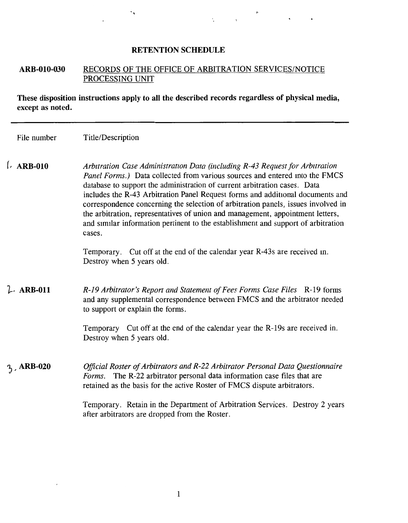## **RETENTION SCHEDULE**

## **ARB-010-030** RECORDS OF THE OFFICE OF ARBITRATION SERVICES/NOTICE PROCESSING UNIT

**These disposition instructions apply to all the described records regardless of physical media, except as noted.** 

| File number | Title/Description |
|-------------|-------------------|
|-------------|-------------------|

(, **ARB-010**  Arbutration Case Administration Data (including R-43 Request for Arbutration *Panel Forms.)* Data collected from various sources and entered mto the FMCS database to support the administration of current arbitration cases. Data includes the R-43 Arbitration Panel Request forms and additional documents and correspondence concerning the selection of arbitration panels, issues involved in the arbitration, representatives of union and management, appointment letters, and similar information pertinent to the establishment and support of arbitration cases.

> Temporary. Cut off at the end of the calendar year R-43s are received m. Destroy when 5 years old.

 $L$  ARB-011 *R-19 Arbitrator's Repon and Statement of Fees Forms Case Files* R-19 forms and any supplemental correspondence between FMCS and the arbitrator needed to support or explain the forms.

> Temporary Cut off at the end of the calendar year the R-19s are received in. Destroy when 5 years old.

) , **ARB-020**  *Official Roster of Arbitrators and R-22 Arbitrator Personal Data Questionnaire Forms.* The R-22 arbitrator personal data information case files that are retained as the basis for the active Roster of FMCS dispute arbitrators.

> Temporary. Retain in the Department of Arbitration Services. Destroy 2 years after arbitrators are dropped from the Roster.